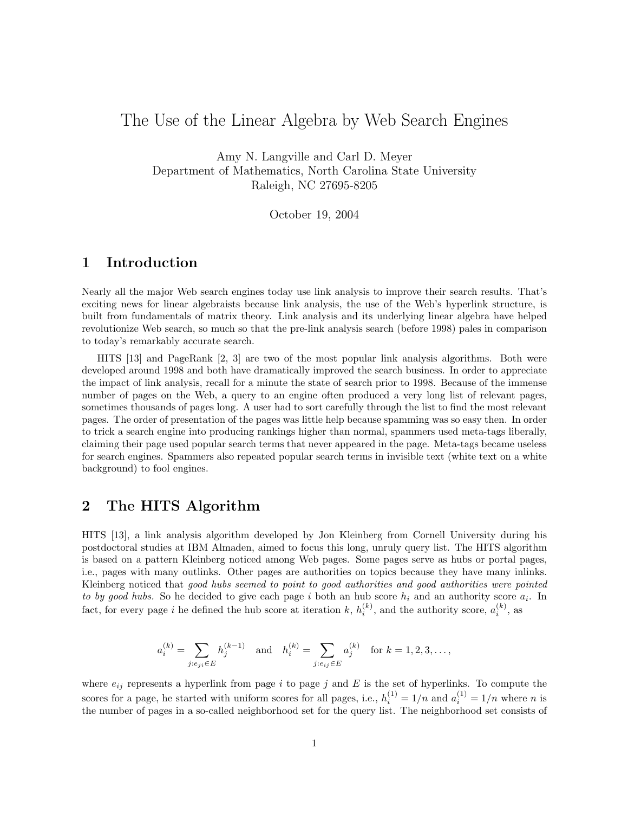# The Use of the Linear Algebra by Web Search Engines

Amy N. Langville and Carl D. Meyer Department of Mathematics, North Carolina State University Raleigh, NC 27695-8205

October 19, 2004

#### **1 Introduction**

Nearly all the major Web search engines today use link analysis to improve their search results. That's exciting news for linear algebraists because link analysis, the use of the Web's hyperlink structure, is built from fundamentals of matrix theory. Link analysis and its underlying linear algebra have helped revolutionize Web search, so much so that the pre-link analysis search (before 1998) pales in comparison to today's remarkably accurate search.

HITS [13] and PageRank [2, 3] are two of the most popular link analysis algorithms. Both were developed around 1998 and both have dramatically improved the search business. In order to appreciate the impact of link analysis, recall for a minute the state of search prior to 1998. Because of the immense number of pages on the Web, a query to an engine often produced a very long list of relevant pages, sometimes thousands of pages long. A user had to sort carefully through the list to find the most relevant pages. The order of presentation of the pages was little help because spamming was so easy then. In order to trick a search engine into producing rankings higher than normal, spammers used meta-tags liberally, claiming their page used popular search terms that never appeared in the page. Meta-tags became useless for search engines. Spammers also repeated popular search terms in invisible text (white text on a white background) to fool engines.

## **2 The HITS Algorithm**

HITS [13], a link analysis algorithm developed by Jon Kleinberg from Cornell University during his postdoctoral studies at IBM Almaden, aimed to focus this long, unruly query list. The HITS algorithm is based on a pattern Kleinberg noticed among Web pages. Some pages serve as hubs or portal pages, i.e., pages with many outlinks. Other pages are authorities on topics because they have many inlinks. Kleinberg noticed that good hubs seemed to point to good authorities and good authorities were pointed to by good hubs. So he decided to give each page *i* both an hub score *h<sup>i</sup>* and an authority score *ai*. In fact, for every page *i* he defined the hub score at iteration *k*,  $h_i^{(k)}$ , and the authority score,  $a_i^{(k)}$ , as

$$
a_i^{(k)} = \sum_{j: e_{ji} \in E} h_j^{(k-1)} \quad \text{and} \quad h_i^{(k)} = \sum_{j: e_{ij} \in E} a_j^{(k)} \quad \text{for } k = 1, 2, 3, \dots,
$$

where  $e_{ij}$  represents a hyperlink from page  $i$  to page  $j$  and  $E$  is the set of hyperlinks. To compute the scores for a page, he started with uniform scores for all pages, i.e.,  $h_i^{(1)} = 1/n$  and  $a_i^{(1)} = 1/n$  where *n* is the number of pages in a so-called neighborhood set for the query list. The neighborhood set consists of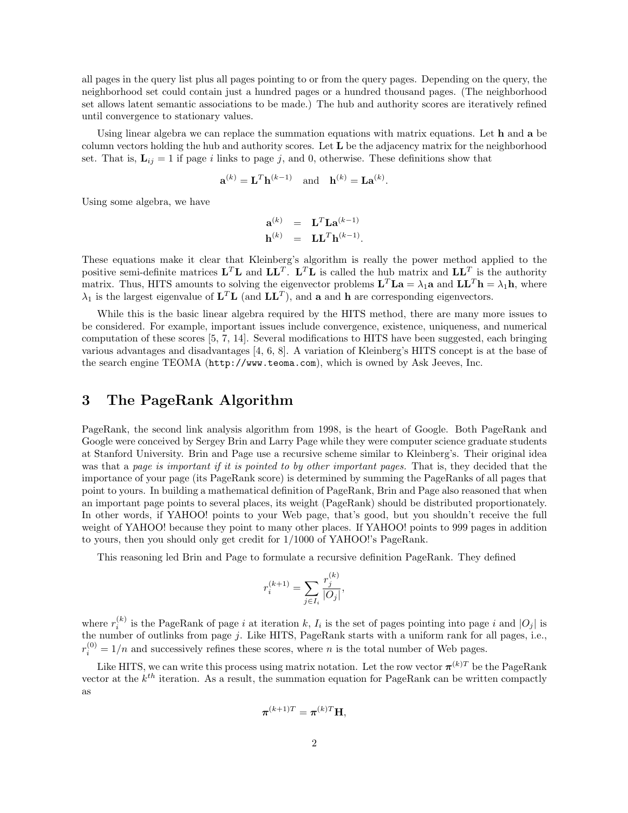all pages in the query list plus all pages pointing to or from the query pages. Depending on the query, the neighborhood set could contain just a hundred pages or a hundred thousand pages. (The neighborhood set allows latent semantic associations to be made.) The hub and authority scores are iteratively refined until convergence to stationary values.

Using linear algebra we can replace the summation equations with matrix equations. Let **h** and **a** be column vectors holding the hub and authority scores. Let **L** be the adjacency matrix for the neighborhood set. That is,  $\mathbf{L}_{ij} = 1$  if page *i* links to page *j*, and 0, otherwise. These definitions show that

$$
\mathbf{a}^{(k)} = \mathbf{L}^T \mathbf{h}^{(k-1)} \quad \text{and} \quad \mathbf{h}^{(k)} = \mathbf{L} \mathbf{a}^{(k)}.
$$

Using some algebra, we have

$$
\begin{array}{rcl}\n\mathbf{a}^{(k)} & = & \mathbf{L}^T \mathbf{L} \mathbf{a}^{(k-1)} \\
\mathbf{h}^{(k)} & = & \mathbf{L} \mathbf{L}^T \mathbf{h}^{(k-1)}.\n\end{array}
$$

These equations make it clear that Kleinberg's algorithm is really the power method applied to the positive semi-definite matrices  $\mathbf{L}^T\mathbf{L}$  and  $\mathbf{L}\mathbf{L}^T$ .  $\mathbf{L}^T\mathbf{L}$  is called the hub matrix and  $\mathbf{L}\mathbf{L}^T$  is the authority matrix. Thus, HITS amounts to solving the eigenvector problems  $\mathbf{L}^T \mathbf{L} \mathbf{a} = \lambda_1 \mathbf{a}$  and  $\mathbf{L} \mathbf{L}^T \mathbf{h} = \lambda_1 \mathbf{h}$ , where  $\lambda_1$  is the largest eigenvalue of  $\mathbf{L}^T\mathbf{L}$  (and  $\mathbf{L}\mathbf{L}^T$ ), and **a** and **h** are corresponding eigenvectors.

While this is the basic linear algebra required by the HITS method, there are many more issues to be considered. For example, important issues include convergence, existence, uniqueness, and numerical computation of these scores [5, 7, 14]. Several modifications to HITS have been suggested, each bringing various advantages and disadvantages [4, 6, 8]. A variation of Kleinberg's HITS concept is at the base of the search engine TEOMA (http://www.teoma.com), which is owned by Ask Jeeves, Inc.

### **3 The PageRank Algorithm**

PageRank, the second link analysis algorithm from 1998, is the heart of Google. Both PageRank and Google were conceived by Sergey Brin and Larry Page while they were computer science graduate students at Stanford University. Brin and Page use a recursive scheme similar to Kleinberg's. Their original idea was that a page is important if it is pointed to by other important pages. That is, they decided that the importance of your page (its PageRank score) is determined by summing the PageRanks of all pages that point to yours. In building a mathematical definition of PageRank, Brin and Page also reasoned that when an important page points to several places, its weight (PageRank) should be distributed proportionately. In other words, if YAHOO! points to your Web page, that's good, but you shouldn't receive the full weight of YAHOO! because they point to many other places. If YAHOO! points to 999 pages in addition to yours, then you should only get credit for 1*/*1000 of YAHOO!'s PageRank.

This reasoning led Brin and Page to formulate a recursive definition PageRank. They defined

$$
r_i^{(k+1)} = \sum_{j \in I_i} \frac{r_j^{(k)}}{|O_j|},
$$

where  $r_i^{(k)}$  is the PageRank of page *i* at iteration *k*,  $I_i$  is the set of pages pointing into page *i* and  $|O_j|$  is the number of outlinks from page *j*. Like HITS, PageRank starts with a uniform rank for all pages, i.e.,  $r_i^{(0)} = 1/n$  and successively refines these scores, where *n* is the total number of Web pages.

Like HITS, we can write this process using matrix notation. Let the row vector  $\pi^{(k)T}$  be the PageRank vector at the *kth* iteration. As a result, the summation equation for PageRank can be written compactly as

$$
\boldsymbol{\pi}^{(k+1)T} = \boldsymbol{\pi}^{(k)T} \mathbf{H},
$$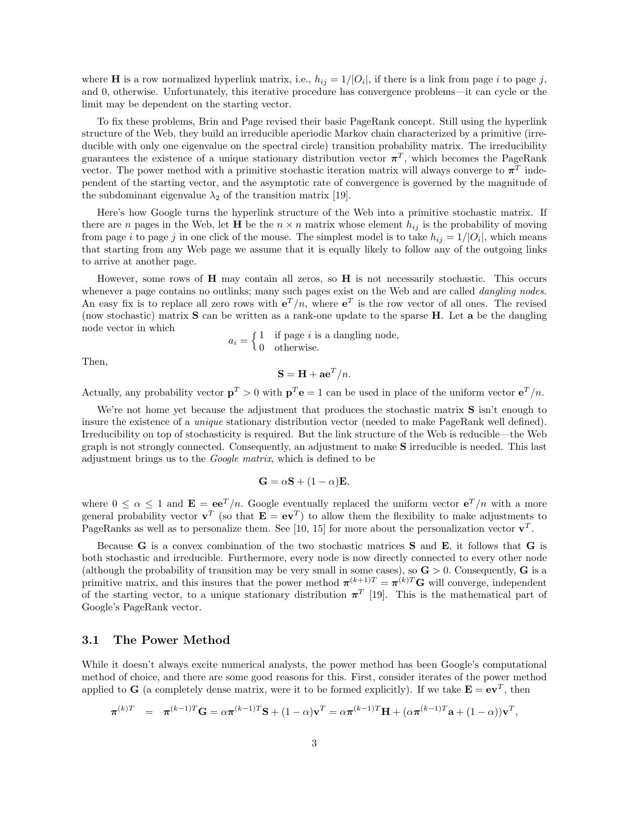where **H** is a row normalized hyperlink matrix, i.e.,  $h_{ij} = 1/|O_i|$ , if there is a link from page *i* to page *j*, and 0, otherwise. Unfortunately, this iterative procedure has convergence problems—it can cycle or the limit may be dependent on the starting vector.

To fix these problems, Brin and Page revised their basic PageRank concept. Still using the hyperlink structure of the Web, they build an irreducible aperiodic Markov chain characterized by a primitive (irreducible with only one eigenvalue on the spectral circle) transition probability matrix. The irreducibility guarantees the existence of a unique stationary distribution vector  $\pi^T$ , which becomes the PageRank vector. The power method with a primitive stochastic iteration matrix will always converge to  $\pi^T$  independent of the starting vector, and the asymptotic rate of convergence is governed by the magnitude of the subdominant eigenvalue  $\lambda_2$  of the transition matrix [19].

Here's how Google turns the hyperlink structure of the Web into a primitive stochastic matrix. If there are *n* pages in the Web, let **H** be the  $n \times n$  matrix whose element  $h_{ij}$  is the probability of moving from page *i* to page *j* in one click of the mouse. The simplest model is to take  $h_{ij} = 1/|O_i|$ , which means that starting from any Web page we assume that it is equally likely to follow any of the outgoing links to arrive at another page.

However, some rows of **H** may contain all zeros, so **H** is not necessarily stochastic. This occurs whenever a page contains no outlinks; many such pages exist on the Web and are called *dangling nodes*. An easy fix is to replace all zero rows with  $e^{T}/n$ , where  $e^{T}$  is the row vector of all ones. The revised (now stochastic) matrix **S** can be written as a rank-one update to the sparse **H**. Let **a** be the dangling node vector in which

$$
a_i = \begin{cases} 1 & \text{if page } i \text{ is a damping node,} \\ 0 & \text{otherwise.} \end{cases}
$$

Then,

$$
\mathbf{S} = \mathbf{H} + \mathbf{a}\mathbf{e}^T/n.
$$

Actually, any probability vector  $\mathbf{p}^T > 0$  with  $\mathbf{p}^T \mathbf{e} = 1$  can be used in place of the uniform vector  $\mathbf{e}^T/n$ .

We're not home yet because the adjustment that produces the stochastic matrix **S** isn't enough to insure the existence of a *unique* stationary distribution vector (needed to make PageRank well defined). Irreducibility on top of stochasticity is required. But the link structure of the Web is reducible—the Web graph is not strongly connected. Consequently, an adjustment to make **S** irreducible is needed. This last adjustment brings us to the Google matrix, which is defined to be

$$
\mathbf{G} = \alpha \mathbf{S} + (1 - \alpha) \mathbf{E},
$$

where  $0 \le \alpha \le 1$  and  $\mathbf{E} = \mathbf{e} \mathbf{e}^T/n$ . Google eventually replaced the uniform vector  $\mathbf{e}^T/n$  with a more general probability vector  $\mathbf{v}^T$  (so that  $\mathbf{E} = \mathbf{e}\mathbf{v}^T$ ) to allow them the flexibility to make adjustments to PageRanks as well as to personalize them. See [10, 15] for more about the personalization vector  $\mathbf{v}^T$ .

Because **G** is a convex combination of the two stochastic matrices **S** and **E***,* it follows that **G** is both stochastic and irreducible. Furthermore, every node is now directly connected to every other node (although the probability of transition may be very small in some cases), so  $\mathbf{G} > 0$ . Consequently,  $\mathbf{G}$  is a primitive matrix, and this insures that the power method  $\pi^{(k+1)T} = \pi^{(k)T}$ **G** will converge, independent of the starting vector, to a unique stationary distribution  $\pi^{T}$  [19]. This is the mathematical part of Google's PageRank vector.

#### **3.1 The Power Method**

While it doesn't always excite numerical analysts, the power method has been Google's computational method of choice, and there are some good reasons for this. First, consider iterates of the power method applied to **G** (a completely dense matrix, were it to be formed explicitly). If we take  $\mathbf{E} = \mathbf{e}\mathbf{v}^T$ , then

$$
\boldsymbol{\pi}^{(k)T} = \boldsymbol{\pi}^{(k-1)T} \mathbf{G} = \alpha \boldsymbol{\pi}^{(k-1)T} \mathbf{S} + (1-\alpha) \mathbf{v}^T = \alpha \boldsymbol{\pi}^{(k-1)T} \mathbf{H} + (\alpha \boldsymbol{\pi}^{(k-1)T} \mathbf{a} + (1-\alpha)) \mathbf{v}^T,
$$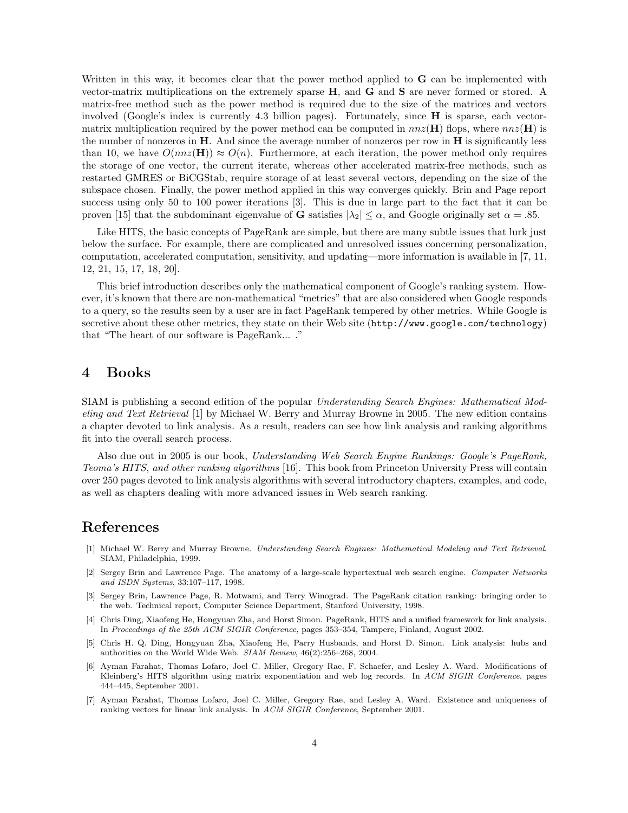Written in this way, it becomes clear that the power method applied to **G** can be implemented with vector-matrix multiplications on the extremely sparse **H**, and **G** and **S** are never formed or stored. A matrix-free method such as the power method is required due to the size of the matrices and vectors involved (Google's index is currently 4.3 billion pages). Fortunately, since **H** is sparse, each vectormatrix multiplication required by the power method can be computed in  $nnz(\mathbf{H})$  flops, where  $nnz(\mathbf{H})$  is the number of nonzeros in **H**. And since the average number of nonzeros per row in **H** is significantly less than 10, we have  $O(nnz(\mathbf{H})) \approx O(n)$ . Furthermore, at each iteration, the power method only requires the storage of one vector, the current iterate, whereas other accelerated matrix-free methods, such as restarted GMRES or BiCGStab, require storage of at least several vectors, depending on the size of the subspace chosen. Finally, the power method applied in this way converges quickly. Brin and Page report success using only 50 to 100 power iterations [3]. This is due in large part to the fact that it can be proven [15] that the subdominant eigenvalue of **G** satisfies  $|\lambda_2| \leq \alpha$ , and Google originally set  $\alpha = .85$ *.* 

Like HITS, the basic concepts of PageRank are simple, but there are many subtle issues that lurk just below the surface. For example, there are complicated and unresolved issues concerning personalization, computation, accelerated computation, sensitivity, and updating—more information is available in [7, 11, 12, 21, 15, 17, 18, 20].

This brief introduction describes only the mathematical component of Google's ranking system. However, it's known that there are non-mathematical "metrics" that are also considered when Google responds to a query, so the results seen by a user are in fact PageRank tempered by other metrics. While Google is secretive about these other metrics, they state on their Web site (http://www.google.com/technology) that "The heart of our software is PageRank... ."

### **4 Books**

SIAM is publishing a second edition of the popular Understanding Search Engines: Mathematical Modeling and Text Retrieval [1] by Michael W. Berry and Murray Browne in 2005. The new edition contains a chapter devoted to link analysis. As a result, readers can see how link analysis and ranking algorithms fit into the overall search process.

Also due out in 2005 is our book, Understanding Web Search Engine Rankings: Google's PageRank, Teoma's HITS, and other ranking algorithms [16]. This book from Princeton University Press will contain over 250 pages devoted to link analysis algorithms with several introductory chapters, examples, and code, as well as chapters dealing with more advanced issues in Web search ranking.

# **References**

- [1] Michael W. Berry and Murray Browne. *Understanding Search Engines: Mathematical Modeling and Text Retrieval*. SIAM, Philadelphia, 1999.
- [2] Sergey Brin and Lawrence Page. The anatomy of a large-scale hypertextual web search engine. *Computer Networks and ISDN Systems*, 33:107–117, 1998.
- [3] Sergey Brin, Lawrence Page, R. Motwami, and Terry Winograd. The PageRank citation ranking: bringing order to the web. Technical report, Computer Science Department, Stanford University, 1998.
- [4] Chris Ding, Xiaofeng He, Hongyuan Zha, and Horst Simon. PageRank, HITS and a unified framework for link analysis. In *Proceedings of the 25th ACM SIGIR Conference*, pages 353–354, Tampere, Finland, August 2002.
- [5] Chris H. Q. Ding, Hongyuan Zha, Xiaofeng He, Parry Husbands, and Horst D. Simon. Link analysis: hubs and authorities on the World Wide Web. *SIAM Review*, 46(2):256–268, 2004.
- [6] Ayman Farahat, Thomas Lofaro, Joel C. Miller, Gregory Rae, F. Schaefer, and Lesley A. Ward. Modifications of Kleinberg's HITS algorithm using matrix exponentiation and web log records. In *ACM SIGIR Conference*, pages 444–445, September 2001.
- [7] Ayman Farahat, Thomas Lofaro, Joel C. Miller, Gregory Rae, and Lesley A. Ward. Existence and uniqueness of ranking vectors for linear link analysis. In *ACM SIGIR Conference*, September 2001.